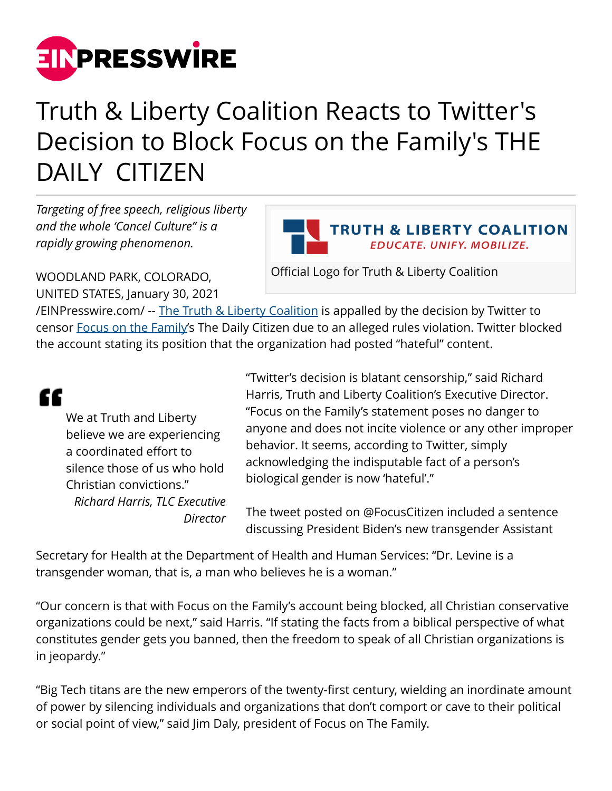

## Truth & Liberty Coalition Reacts to Twitter's Decision to Block Focus on the Family's THE DAILY CITIZEN

*Targeting of free speech, religious liberty and the whole 'Cancel Culture" is a rapidly growing phenomenon.*



Official Logo for Truth & Liberty Coalition

WOODLAND PARK, COLORADO, UNITED STATES, January 30, 2021

[/EINPresswire.com/](http://www.einpresswire.com) -- [The Truth & Liberty Coalition](https://truthandliberty.net) is appalled by the decision by Twitter to censor [Focus on the Family](https://www.focusonthefamily.com)'s The Daily Citizen due to an alleged rules violation. Twitter blocked the account stating its position that the organization had posted "hateful" content.

## "

We at Truth and Liberty believe we are experiencing a coordinated effort to silence those of us who hold Christian convictions." *Richard Harris, TLC Executive Director* "Twitter's decision is blatant censorship," said Richard Harris, Truth and Liberty Coalition's Executive Director. "Focus on the Family's statement poses no danger to anyone and does not incite violence or any other improper behavior. It seems, according to Twitter, simply acknowledging the indisputable fact of a person's biological gender is now 'hateful'."

The tweet posted on @FocusCitizen included a sentence discussing President Biden's new transgender Assistant

Secretary for Health at the Department of Health and Human Services: "Dr. Levine is a transgender woman, that is, a man who believes he is a woman."

"Our concern is that with Focus on the Family's account being blocked, all Christian conservative organizations could be next," said Harris. "If stating the facts from a biblical perspective of what constitutes gender gets you banned, then the freedom to speak of all Christian organizations is in jeopardy."

"Big Tech titans are the new emperors of the twenty-first century, wielding an inordinate amount of power by silencing individuals and organizations that don't comport or cave to their political or social point of view," said Jim Daly, president of Focus on The Family.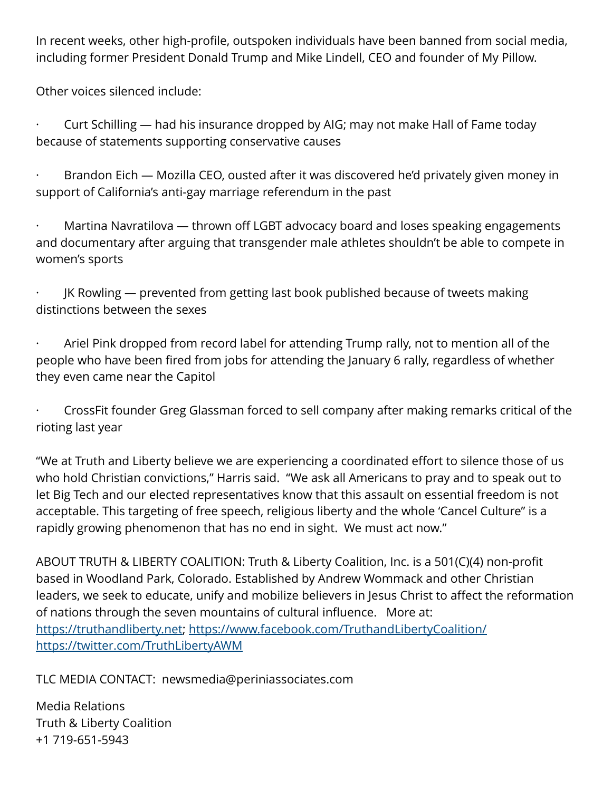In recent weeks, other high-profile, outspoken individuals have been banned from social media, including former President Donald Trump and Mike Lindell, CEO and founder of My Pillow.

Other voices silenced include:

· Curt Schilling — had his insurance dropped by AIG; may not make Hall of Fame today because of statements supporting conservative causes

 $\cdot$  Brandon Eich — Mozilla CEO, ousted after it was discovered he'd privately given money in support of California's anti-gay marriage referendum in the past

Martina Navratilova — thrown off LGBT advocacy board and loses speaking engagements and documentary after arguing that transgender male athletes shouldn't be able to compete in women's sports

JK Rowling — prevented from getting last book published because of tweets making distinctions between the sexes

Ariel Pink dropped from record label for attending Trump rally, not to mention all of the people who have been fired from jobs for attending the January 6 rally, regardless of whether they even came near the Capitol

· CrossFit founder Greg Glassman forced to sell company after making remarks critical of the rioting last year

"We at Truth and Liberty believe we are experiencing a coordinated effort to silence those of us who hold Christian convictions," Harris said. "We ask all Americans to pray and to speak out to let Big Tech and our elected representatives know that this assault on essential freedom is not acceptable. This targeting of free speech, religious liberty and the whole 'Cancel Culture" is a rapidly growing phenomenon that has no end in sight. We must act now."

ABOUT TRUTH & LIBERTY COALITION: Truth & Liberty Coalition, Inc. is a 501(C)(4) non-profit based in Woodland Park, Colorado. Established by Andrew Wommack and other Christian leaders, we seek to educate, unify and mobilize believers in Jesus Christ to affect the reformation of nations through the seven mountains of cultural influence. More at: [https://truthandliberty.net;](https://truthandliberty.net) <https://www.facebook.com/TruthandLibertyCoalition/> <https://twitter.com/TruthLibertyAWM>

TLC MEDIA CONTACT: newsmedia@periniassociates.com

Media Relations Truth & Liberty Coalition +1 719-651-5943